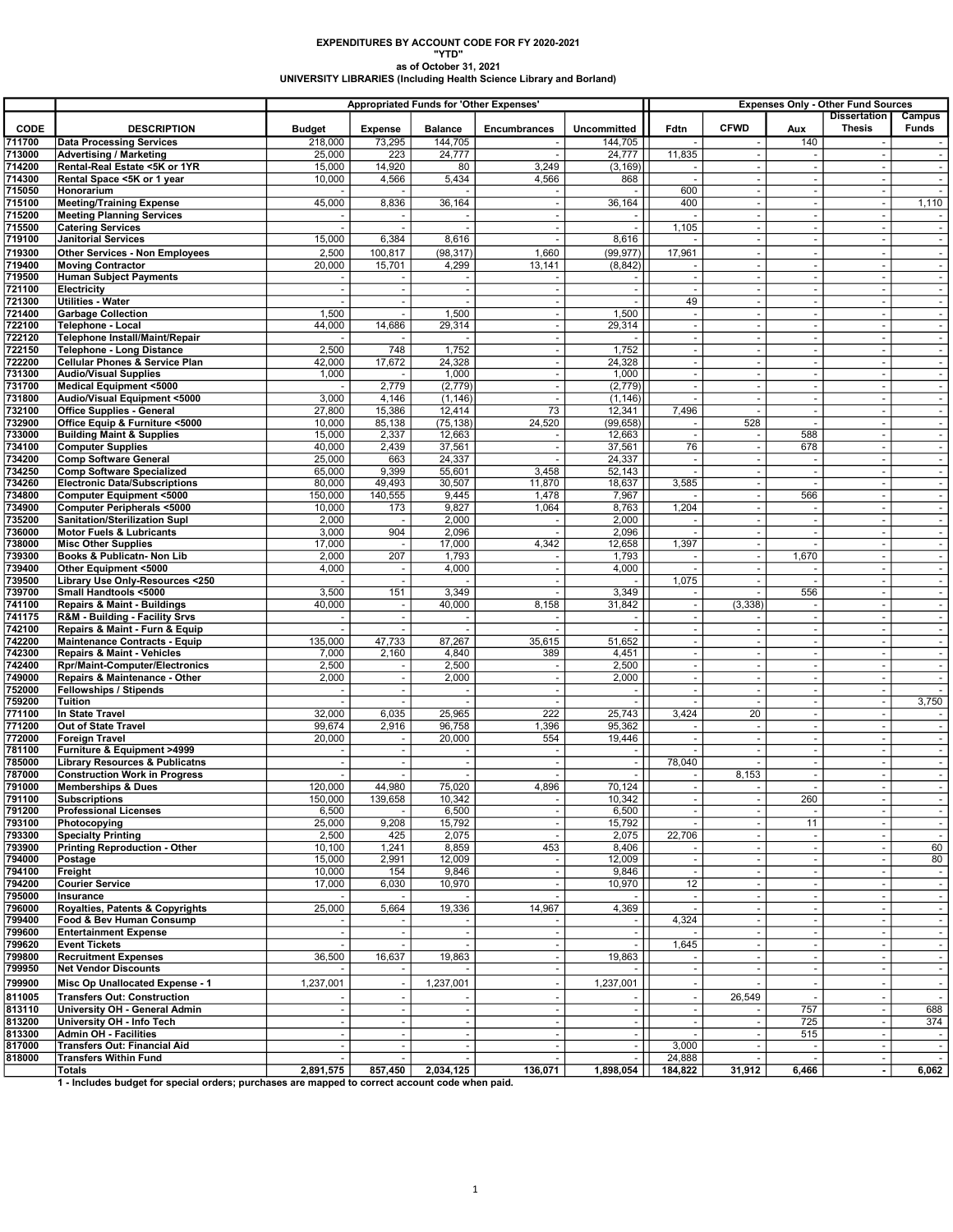EXPENDITURES BY ACCOUNT CODE FOR FY 2020-2021 "YTD" as of October 31, 2021 UNIVERSITY LIBRARIES (Including Health Science Library and Borland)

|                       |                                                                                                                  | <b>Appropriated Funds for 'Other Expenses'</b> |                                            |                           |                          |                               | <b>Expenses Only - Other Fund Sources</b>            |                          |                                    |                                      |                                            |  |
|-----------------------|------------------------------------------------------------------------------------------------------------------|------------------------------------------------|--------------------------------------------|---------------------------|--------------------------|-------------------------------|------------------------------------------------------|--------------------------|------------------------------------|--------------------------------------|--------------------------------------------|--|
|                       |                                                                                                                  |                                                |                                            |                           |                          |                               |                                                      | <b>CFWD</b>              |                                    | <b>Dissertation</b><br><b>Thesis</b> | Campus<br><b>Funds</b>                     |  |
| <b>CODE</b><br>711700 | <b>DESCRIPTION</b>                                                                                               | <b>Budget</b>                                  | <b>Expense</b>                             | <b>Balance</b><br>144,705 | <b>Encumbrances</b>      | <b>Uncommitted</b><br>144,705 | Fdtn                                                 |                          | Aux                                |                                      |                                            |  |
| 713000                | <b>Data Processing Services</b><br><b>Advertising / Marketing</b>                                                | 218,000<br>25,000                              | 73,295<br>223                              | 24,777                    |                          | 24,777                        | 11,835                                               |                          | 140<br>$\sim$                      |                                      | $\blacksquare$                             |  |
| 714200                | Rental-Real Estate <5K or 1YR                                                                                    | 15,000                                         | 14,920                                     | 80                        | 3,249                    | (3, 169)                      |                                                      |                          | $\overline{\phantom{a}}$           |                                      | $\blacksquare$                             |  |
| 714300                | Rental Space <5K or 1 year                                                                                       | 10,000                                         | 4,566                                      | 5,434                     | 4,566                    | 868                           |                                                      |                          | $\sim$                             |                                      | $\blacksquare$                             |  |
| 715050                | Honorarium                                                                                                       |                                                |                                            |                           |                          |                               | 600                                                  |                          | $\omega$                           |                                      | $\blacksquare$                             |  |
| 715100                | <b>Meeting/Training Expense</b>                                                                                  | 45,000                                         | 8,836                                      | 36,164                    | $\overline{\phantom{a}}$ | 36,164                        | 400                                                  |                          | $\overline{\phantom{a}}$           |                                      | 1,110                                      |  |
| 715200                | <b>Meeting Planning Services</b>                                                                                 |                                                | $\sim$                                     | $\sim$                    | $\sim$                   |                               |                                                      | $\overline{a}$           | $\sim$                             | $\sim$                               | $\blacksquare$                             |  |
| 715500<br>719100      | <b>Catering Services</b><br><b>Janitorial Services</b>                                                           | 15,000                                         | 6,384                                      | 8,616                     | $\sim$                   | 8,616                         | 1,105                                                |                          | $\sim$                             | $\sim$                               | $\blacksquare$<br>$\overline{\phantom{a}}$ |  |
| 719300                | <b>Other Services - Non Employees</b>                                                                            | 2,500                                          | 100,817                                    | (98, 317)                 | 1,660                    | (99, 977)                     | 17,961                                               |                          | $\sim$                             |                                      | $\overline{\phantom{a}}$                   |  |
| 719400                | <b>Moving Contractor</b>                                                                                         | 20,000                                         | 15,701                                     | 4,299                     | 13,141                   | (8, 842)                      |                                                      |                          | $\overline{\phantom{a}}$           |                                      | $\overline{\phantom{a}}$                   |  |
| 719500                | <b>Human Subject Payments</b>                                                                                    |                                                |                                            |                           |                          |                               |                                                      |                          | $\sim$                             |                                      | $\overline{\phantom{a}}$                   |  |
| 721100                | Electricity                                                                                                      |                                                | $\mathbf{r}$                               | $\sim$                    |                          |                               | $\overline{\phantom{a}}$                             |                          | $\sim$                             | $\sim$                               | $\sim$                                     |  |
| 721300                | Utilities - Water                                                                                                |                                                | $\blacksquare$                             |                           |                          |                               | 49                                                   |                          | $\omega$                           | $\overline{\phantom{a}}$             | $\blacksquare$                             |  |
| 721400                | <b>Garbage Collection</b>                                                                                        | 1,500                                          |                                            | 1,500                     |                          | 1,500                         |                                                      |                          | $\omega$                           |                                      | $\overline{\phantom{a}}$                   |  |
| 722100<br>722120      | <b>Telephone - Local</b><br>Telephone Install/Maint/Repair                                                       | 44,000                                         | 14,686                                     | 29,314                    | $\overline{\phantom{a}}$ | 29,314                        |                                                      |                          | $\overline{\phantom{a}}$           | $\overline{\phantom{a}}$             | $\sim$<br>$\overline{\phantom{a}}$         |  |
| 722150                | <b>Telephone - Long Distance</b>                                                                                 | 2,500                                          | 748                                        | 1,752                     | $\sim$                   | 1,752                         | $\sim$                                               |                          | $\omega$                           |                                      | $\sim$                                     |  |
| 722200                | <b>Cellular Phones &amp; Service Plan</b>                                                                        | 42,000                                         | 17,672                                     | 24,328                    | $\sim$                   | 24,328                        | $\blacksquare$                                       |                          | $\omega$                           |                                      | $\blacksquare$                             |  |
| 731300                | <b>Audio/Visual Supplies</b>                                                                                     | 1,000                                          |                                            | 1,000                     | $\sim$                   | 1,000                         | $\overline{\phantom{a}}$                             |                          | $\omega$                           |                                      | $\blacksquare$                             |  |
| 731700                | <b>Medical Equipment &lt;5000</b>                                                                                |                                                | 2,779                                      | (2, 779)                  | $\sim$                   | (2,779)                       | $\overline{\phantom{a}}$                             |                          | $\overline{\phantom{a}}$           |                                      | $\overline{\phantom{a}}$                   |  |
| 731800                | Audio/Visual Equipment <5000                                                                                     | 3,000                                          | 4,146                                      | (1, 146)                  |                          | (1, 146)                      |                                                      |                          | $\blacksquare$                     |                                      | $\overline{\phantom{a}}$                   |  |
| 732100                | Office Supplies - General                                                                                        | 27,800                                         | 15,386                                     | 12,414                    | 73                       | 12,341                        | 7,496                                                |                          | $\sim$                             | $\sim$                               | $\sim$                                     |  |
| 732900<br>733000      | Office Equip & Furniture <5000<br><b>Building Maint &amp; Supplies</b>                                           | 10,000<br>15,000                               | 85,138<br>2,337                            | (75, 138)<br>12,663       | 24,520                   | (99, 658)<br>12,663           |                                                      | 528                      | $\sim$<br>588                      | $\sim$                               | $\blacksquare$<br>$\overline{\phantom{a}}$ |  |
| 734100                | <b>Computer Supplies</b>                                                                                         | 40,000                                         | 2,439                                      | 37,561                    |                          | 37,561                        | 76                                                   |                          | 678                                | $\overline{\phantom{a}}$             | $\overline{\phantom{a}}$                   |  |
| 734200                | <b>Comp Software General</b>                                                                                     | 25,000                                         | 663                                        | 24,337                    |                          | 24,337                        |                                                      |                          |                                    |                                      | $\overline{\phantom{a}}$                   |  |
| 734250                | <b>Comp Software Specialized</b>                                                                                 | 65,000                                         | 9,399                                      | 55,601                    | 3,458                    | 52,143                        |                                                      |                          | $\sim$                             |                                      | $\sim$                                     |  |
| 734260                | <b>Electronic Data/Subscriptions</b>                                                                             | 80,000                                         | 49,493                                     | 30,507                    | 11,870                   | 18,637                        | 3,585                                                |                          | $\omega$                           | $\sim$                               | $\blacksquare$                             |  |
| 734800                | Computer Equipment <5000                                                                                         | 150,000                                        | 140,555                                    | 9,445                     | 1,478                    | 7,967                         |                                                      |                          | 566                                |                                      | $\blacksquare$                             |  |
| 734900<br>735200      | Computer Peripherals <5000<br>Sanitation/Sterilization Supl                                                      | 10,000<br>2,000                                | 173                                        | 9,827<br>2,000            | 1,064                    | 8,763<br>2,000                | 1,204                                                |                          | $\overline{\phantom{a}}$<br>$\sim$ | $\overline{\phantom{a}}$             | $\overline{\phantom{a}}$                   |  |
| 736000                | <b>Motor Fuels &amp; Lubricants</b>                                                                              | 3,000                                          | 904                                        | 2,096                     |                          | 2,096                         |                                                      |                          | $\sim$                             | $\sim$                               | $\overline{\phantom{a}}$<br>$\blacksquare$ |  |
| 738000                | <b>Misc Other Supplies</b>                                                                                       | 17,000                                         | $\overline{\phantom{a}}$                   | 17,000                    | 4,342                    | 12,658                        | 1,397                                                |                          |                                    | $\sim$                               | $\blacksquare$                             |  |
| 739300                | Books & Publicatn- Non Lib                                                                                       | 2,000                                          | 207                                        | 1,793                     |                          | 1,793                         |                                                      |                          | 1,670                              |                                      | $\overline{\phantom{a}}$                   |  |
| 739400                | Other Equipment <5000                                                                                            | 4,000                                          | $\overline{\phantom{a}}$                   | 4,000                     | $\overline{\phantom{a}}$ | 4,000                         |                                                      |                          | $\overline{\phantom{a}}$           | $\overline{\phantom{a}}$             | $\blacksquare$                             |  |
| 739500                | Library Use Only-Resources <250                                                                                  |                                                |                                            |                           |                          |                               | 1,075                                                |                          |                                    |                                      | $\blacksquare$                             |  |
| 739700                | Small Handtools <5000                                                                                            | 3,500                                          | 151                                        | 3,349                     |                          | 3,349                         |                                                      |                          | 556                                |                                      | $\sim$                                     |  |
| 741100<br>741175      | <b>Repairs &amp; Maint - Buildings</b><br>R&M - Building - Facility Srvs                                         | 40,000                                         | $\overline{\phantom{a}}$<br>$\blacksquare$ | 40,000                    | 8,158                    | 31,842                        | $\overline{\phantom{a}}$<br>$\overline{\phantom{a}}$ | (3, 338)                 | $\omega$<br>$\omega$               | $\sim$                               | $\blacksquare$<br>$\blacksquare$           |  |
| 742100                | Repairs & Maint - Furn & Equip                                                                                   |                                                |                                            |                           |                          |                               | $\overline{\phantom{a}}$                             |                          | $\overline{\phantom{a}}$           |                                      | $\blacksquare$                             |  |
| 742200                | <b>Maintenance Contracts - Equip</b>                                                                             | 135,000                                        | 47,733                                     | 87,267                    | 35,615                   | 51,652                        |                                                      |                          | $\blacksquare$                     |                                      | $\overline{\phantom{a}}$                   |  |
| 742300                | <b>Repairs &amp; Maint - Vehicles</b>                                                                            | 7,000                                          | 2,160                                      | 4,840                     | 389                      | 4,451                         | $\overline{\phantom{a}}$                             | $\overline{\phantom{a}}$ | $\overline{\phantom{a}}$           | $\sim$                               | $\blacksquare$                             |  |
| 742400                | <b>Rpr/Maint-Computer/Electronics</b>                                                                            | 2,500                                          | $\overline{\phantom{a}}$                   | 2,500                     | $\overline{\phantom{a}}$ | 2,500                         | $\overline{\phantom{a}}$                             |                          | $\omega$                           | $\sim$                               | $\blacksquare$                             |  |
| 749000                | Repairs & Maintenance - Other                                                                                    | 2,000                                          |                                            | 2,000                     |                          | 2,000                         | $\overline{\phantom{a}}$                             |                          | $\sim$                             |                                      | $\overline{\phantom{a}}$                   |  |
| 752000<br>759200      | <b>Fellowships / Stipends</b><br>Tuition                                                                         |                                                | $\overline{\phantom{a}}$                   | $\overline{\phantom{a}}$  | $\overline{\phantom{a}}$ | $\sim$                        | $\overline{\phantom{a}}$                             | $\overline{\phantom{a}}$ | $\overline{\phantom{a}}$<br>$\sim$ | $\overline{\phantom{a}}$             | $\blacksquare$<br>3,750                    |  |
| 771100                | In State Travel                                                                                                  | 32,000                                         | 6,035                                      | 25,965                    | 222                      | 25,743                        | 3,424                                                | 20                       | $\sim$                             |                                      |                                            |  |
| 771200                | Out of State Travel                                                                                              | 99,674                                         | 2,916                                      | 96,758                    | 1,396                    | 95,362                        | $\overline{\phantom{a}}$                             |                          | $\sim$                             | $\sim$                               | $\blacksquare$                             |  |
| 772000                | <b>Foreign Travel</b>                                                                                            | 20,000                                         |                                            | 20,000                    | 554                      | 19,446                        |                                                      |                          | $\omega$                           |                                      | $\blacksquare$                             |  |
| 781100                | Furniture & Equipment >4999                                                                                      |                                                | $\overline{\phantom{a}}$                   | $\overline{\phantom{a}}$  | $\sim$                   |                               |                                                      |                          | $\overline{\phantom{a}}$           | $\overline{\phantom{a}}$             | $\blacksquare$                             |  |
| 785000                | <b>Library Resources &amp; Publicatns</b>                                                                        |                                                |                                            |                           |                          | $\blacksquare$                | 78,040                                               |                          | $\sim$                             |                                      | $\overline{\phantom{a}}$                   |  |
| 787000<br>791000      | <b>Construction Work in Progress</b><br><b>Memberships &amp; Dues</b>                                            | 120,000                                        | $\sim$<br>44,980                           | 75,020                    | 4,896                    | 70,124                        | $\blacksquare$                                       | 8,153                    | $\blacksquare$<br>$\sim$           | $\sim$<br>$\sim$                     | $\blacksquare$<br>$\blacksquare$           |  |
| 791100                | <b>Subscriptions</b>                                                                                             | 150,000                                        | 139,658                                    | 10,342                    |                          | 10,342                        |                                                      |                          | 260                                |                                      |                                            |  |
| 791200                | <b>Professional Licenses</b>                                                                                     | 6,500                                          |                                            | 6,500                     |                          | 6,500                         |                                                      |                          |                                    |                                      | $\overline{\phantom{a}}$                   |  |
| 793100                | Photocopying                                                                                                     | 25,000                                         | 9,208                                      | 15,792                    |                          | 15,792                        |                                                      |                          | 11                                 |                                      | $\overline{\phantom{a}}$                   |  |
| 793300                | <b>Specialty Printing</b>                                                                                        | 2,500                                          | 425                                        | 2,075                     |                          | 2,075                         | 22,706                                               |                          | $\blacksquare$                     |                                      |                                            |  |
| 793900<br>794000      | <b>Printing Reproduction - Other</b><br>Postage                                                                  | 10,100<br>15,000                               | 1,241<br>2,991                             | 8,859<br>12,009           | 453                      | 8,406<br>12,009               |                                                      |                          | $\blacksquare$                     | $\sim$                               | 60                                         |  |
| 794100                | Freight                                                                                                          | 10,000                                         | 154                                        | 9,846                     |                          | 9,846                         |                                                      |                          | $\overline{\phantom{a}}$           | $\overline{\phantom{a}}$             | 80<br>$\overline{\phantom{a}}$             |  |
| 794200                | <b>Courier Service</b>                                                                                           | 17,000                                         | 6,030                                      | 10,970                    |                          | 10,970                        | 12                                                   |                          | $\blacksquare$                     |                                      | $\blacksquare$                             |  |
| 795000                | Insurance                                                                                                        |                                                |                                            |                           |                          |                               | $\overline{\phantom{a}}$                             |                          | $\sim$                             | $\sim$                               | $\blacksquare$                             |  |
| 796000                | Royalties, Patents & Copyrights                                                                                  | 25,000                                         | 5,664                                      | 19,336                    | 14,967                   | 4,369                         |                                                      |                          | $\sim$                             | $\sim$                               | $\omega$                                   |  |
| 799400                | Food & Bev Human Consump                                                                                         |                                                |                                            |                           |                          |                               | 4,324                                                |                          |                                    |                                      | $\overline{\phantom{a}}$                   |  |
| 799600                | <b>Entertainment Expense</b>                                                                                     |                                                | $\overline{\phantom{a}}$                   | $\overline{\phantom{a}}$  | $\overline{\phantom{a}}$ | $\overline{\phantom{a}}$      |                                                      |                          | $\sim$                             | $\overline{\phantom{a}}$             | $\sim$                                     |  |
| 799620<br>799800      | <b>Event Tickets</b><br><b>Recruitment Expenses</b>                                                              | 36,500                                         | 16,637                                     | 19,863                    | $\overline{\phantom{a}}$ | 19,863                        | 1,645                                                |                          | $\blacksquare$                     |                                      | $\overline{\phantom{a}}$<br>$\blacksquare$ |  |
| 799950                | <b>Net Vendor Discounts</b>                                                                                      |                                                |                                            |                           | $\sim$                   |                               | $\blacksquare$                                       |                          | $\sim$                             | $\sim$                               | $\blacksquare$                             |  |
| 799900                | Misc Op Unallocated Expense - 1                                                                                  | 1,237,001                                      |                                            | 1,237,001                 |                          | 1,237,001                     |                                                      |                          |                                    |                                      | $\overline{\phantom{a}}$                   |  |
| 811005                | <b>Transfers Out: Construction</b>                                                                               |                                                |                                            |                           | $\overline{\phantom{a}}$ | $\sim$                        | $\overline{\phantom{a}}$                             | 26,549                   | $\sim$                             | $\overline{\phantom{a}}$             | $\overline{\phantom{a}}$                   |  |
| 813110                | University OH - General Admin                                                                                    | $\overline{\phantom{a}}$                       |                                            | $\overline{\phantom{a}}$  | $\sim$                   | $\blacksquare$                |                                                      |                          | 757                                |                                      | 688                                        |  |
| 813200                | University OH - Info Tech                                                                                        |                                                |                                            | $\sim$                    |                          | $\sim$                        | $\sim$                                               |                          | 725                                |                                      | 374                                        |  |
| 813300                | Admin OH - Facilities                                                                                            | $\sim$                                         | $\sim$                                     | $\sim$                    | $\sim$                   | $\sim$                        | $\sim$                                               |                          | 515                                | $\sim$                               | ÷                                          |  |
| 817000                | Transfers Out: Financial Aid                                                                                     |                                                |                                            | $\sim$                    |                          |                               | 3,000                                                |                          | $\omega$                           | $\sim$                               | $\overline{\phantom{a}}$                   |  |
| 818000                | <b>Transfers Within Fund</b>                                                                                     | 2,891,575                                      | 857,450                                    | 2,034,125                 |                          | $\overline{\phantom{a}}$      | 24,888                                               |                          |                                    |                                      | $\sim$                                     |  |
|                       | <b>Totals</b><br>1 - Includes budget for special orders; purchases are mapped to correct account code when paid. |                                                |                                            |                           | 136,071                  | 1,898,054                     | 184,822                                              | 31,912                   | 6,466                              | $\blacksquare$                       | 6,062                                      |  |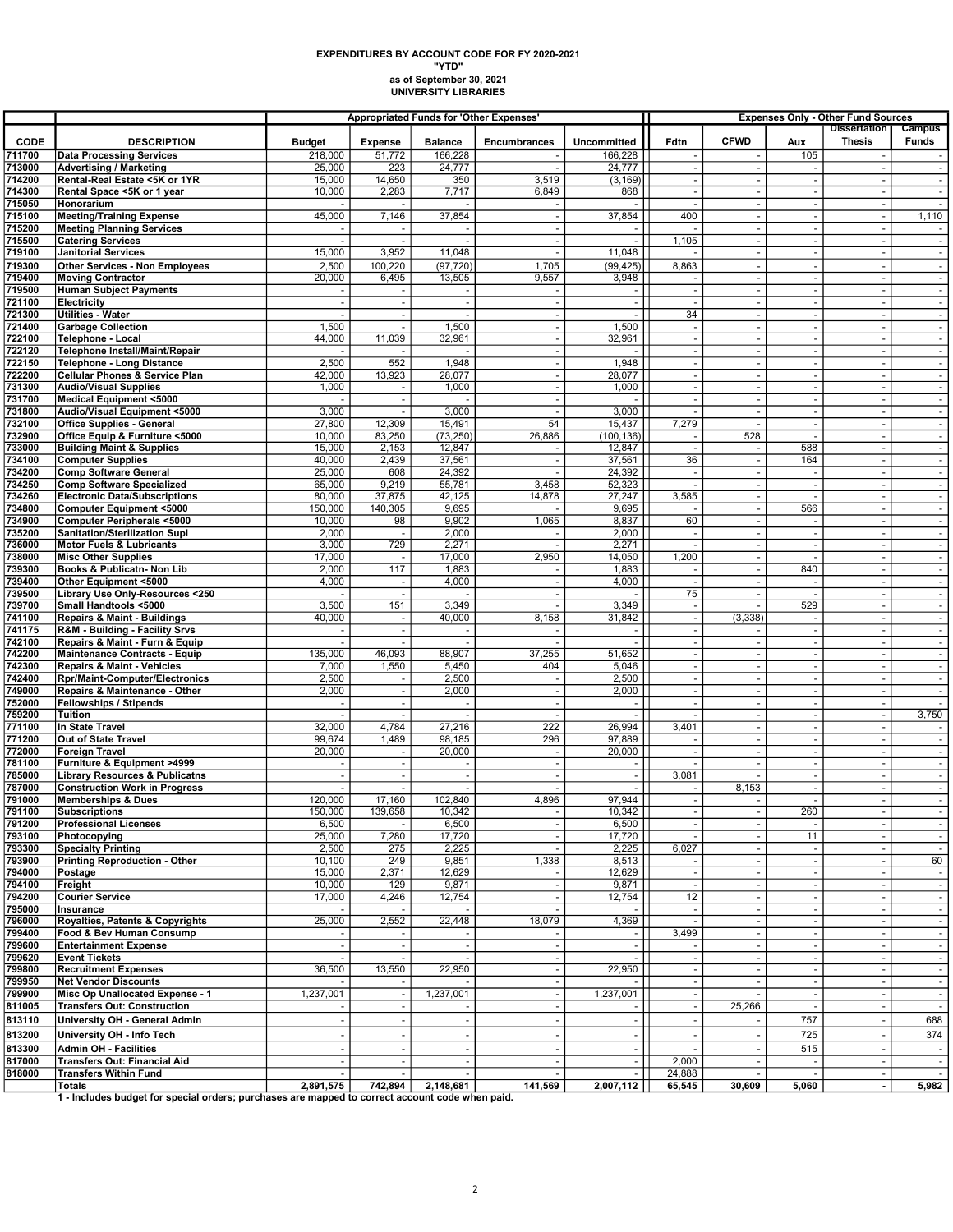## as of September 30, 2021 UNIVERSITY LIBRARIES EXPENDITURES BY ACCOUNT CODE FOR FY 2020-2021 "YTD"

|                  |                                                                                                 | <b>Appropriated Funds for 'Other Expenses'</b> |                                    |                  |                                 |                          | <b>Expenses Only - Other Fund Sources</b> |                          |                                            |                                      |                          |  |
|------------------|-------------------------------------------------------------------------------------------------|------------------------------------------------|------------------------------------|------------------|---------------------------------|--------------------------|-------------------------------------------|--------------------------|--------------------------------------------|--------------------------------------|--------------------------|--|
| <b>CODE</b>      | <b>DESCRIPTION</b>                                                                              | <b>Budget</b>                                  | <b>Expense</b>                     | <b>Balance</b>   | Encumbrances                    | <b>Uncommitted</b>       | Fdtn                                      | <b>CFWD</b>              | Aux                                        | <b>Dissertation</b><br><b>Thesis</b> | Campus<br>Funds          |  |
| 711700           | <b>Data Processing Services</b>                                                                 | 218,000                                        | 51,772                             | 166,228          |                                 | 166,228                  |                                           |                          | 105                                        |                                      |                          |  |
| 713000           | <b>Advertising / Marketing</b>                                                                  | 25,000                                         | 223                                | 24,777           |                                 | 24,777                   |                                           |                          | $\overline{\phantom{a}}$                   |                                      | $\sim$                   |  |
| 714200           | Rental-Real Estate <5K or 1YR                                                                   | 15,000                                         | 14,650                             | 350              | 3,519                           | (3, 169)                 | $\overline{\phantom{a}}$                  | $\sim$                   | $\overline{\phantom{a}}$                   |                                      |                          |  |
| 714300           | Rental Space <5K or 1 year                                                                      | 10,000                                         | 2,283                              | 7,717            | 6,849                           | 868                      | ٠.                                        | $\sim$                   | $\omega$                                   |                                      | $\sim$                   |  |
| 715050           | Honorarium                                                                                      |                                                |                                    |                  |                                 |                          |                                           | $\sim$                   | $\omega$                                   |                                      | $\sim$                   |  |
| 715100           | <b>Meeting/Training Expense</b>                                                                 | 45,000                                         | 7,146                              | 37,854           |                                 | 37,854                   | 400                                       |                          | $\tilde{\phantom{a}}$                      |                                      | 1,110                    |  |
| 715200<br>715500 | <b>Meeting Planning Services</b><br><b>Catering Services</b>                                    |                                                |                                    |                  |                                 |                          | 1,105                                     | $\overline{\phantom{a}}$ | $\overline{\phantom{a}}$                   | $\overline{\phantom{a}}$             | $\sim$                   |  |
| 719100           | <b>Janitorial Services</b>                                                                      | 15,000                                         | 3,952                              | 11,048           | $\overline{\phantom{a}}$        | 11,048                   |                                           |                          | $\sim$                                     | $\sim$                               |                          |  |
| 719300           | <b>Other Services - Non Employees</b>                                                           | 2,500                                          | 100,220                            | (97, 720)        | 1,705                           | (99, 425)                | 8,863                                     | $\omega$                 | $\blacksquare$                             | $\sim$                               | $\sim$                   |  |
| 719400           | <b>Moving Contractor</b>                                                                        | 20,000                                         | 6,495                              | 13,505           | 9,557                           | 3,948                    |                                           |                          | $\overline{\phantom{a}}$                   |                                      |                          |  |
| 719500           | <b>Human Subject Payments</b>                                                                   | $\overline{\phantom{a}}$                       |                                    |                  |                                 | $\omega$                 | $\sim$                                    | $\overline{a}$           | $\omega$                                   | $\sim$                               |                          |  |
| 721100           | Electricity                                                                                     |                                                | $\overline{\phantom{a}}$           |                  |                                 | $\omega$                 |                                           | $\sim$                   | $\blacksquare$                             | $\sim$                               | $\overline{\phantom{a}}$ |  |
| 721300           | <b>Utilities - Water</b>                                                                        | 1,500                                          | $\sim$                             | 1,500            | $\sim$                          | 1,500                    | 34<br>$\sim$                              |                          |                                            |                                      | $\sim$                   |  |
| 721400<br>722100 | <b>Garbage Collection</b><br>Telephone - Local                                                  | 44,000                                         | 11,039                             | 32,961           |                                 | 32,961                   |                                           | $\overline{\phantom{a}}$ | $\overline{\phantom{a}}$                   | $\sim$                               |                          |  |
| 722120           | Telephone Install/Maint/Repair                                                                  |                                                |                                    |                  | $\sim$                          |                          | $\sim$                                    | $\sim$                   | $\omega$                                   | $\sim$                               | $\sim$                   |  |
| 722150           | Telephone - Long Distance                                                                       | 2,500                                          | 552                                | 1,948            |                                 | 1,948                    |                                           |                          | $\sim$                                     |                                      |                          |  |
| 722200           | <b>Cellular Phones &amp; Service Plan</b>                                                       | 42,000                                         | 13,923                             | 28,077           |                                 | 28,077                   |                                           |                          |                                            |                                      |                          |  |
| 731300           | <b>Audio/Visual Supplies</b>                                                                    | 1,000                                          | $\overline{\phantom{a}}$           | 1,000            | $\sim$                          | 1,000                    | $\overline{\phantom{a}}$                  | $\sim$                   | $\blacksquare$                             | $\sim$                               | $\sim$                   |  |
| 731700           | <b>Medical Equipment &lt;5000</b>                                                               |                                                | $\overline{\phantom{a}}$           |                  | $\sim$                          |                          | $\sim$                                    |                          | $\sim$                                     | $\sim$                               |                          |  |
| 731800<br>732100 | Audio/Visual Equipment <5000<br><b>Office Supplies - General</b>                                | 3,000<br>27,800                                | $\overline{\phantom{a}}$<br>12,309 | 3,000<br>15,491  | 54                              | 3,000<br>15,437          | 7,279                                     | $\overline{\phantom{a}}$ | $\omega$<br>$\blacksquare$                 | $\sim$<br>$\overline{\phantom{a}}$   | $\overline{\phantom{a}}$ |  |
| 732900           | Office Equip & Furniture <5000                                                                  | 10,000                                         | 83,250                             | (73, 250)        | 26,886                          | (100, 136)               |                                           | 528                      |                                            |                                      |                          |  |
| 733000           | <b>Building Maint &amp; Supplies</b>                                                            | 15,000                                         | 2,153                              | 12,847           |                                 | 12,847                   |                                           | $\sim$                   | 588                                        | $\sim$                               | $\sim$                   |  |
| 734100           | <b>Computer Supplies</b>                                                                        | 40,000                                         | 2,439                              | 37,561           |                                 | 37,561                   | 36                                        | $\mathbf{r}$             | 164                                        | $\omega$                             |                          |  |
| 734200           | <b>Comp Software General</b>                                                                    | 25,000                                         | 608                                | 24,392           |                                 | 24,392                   | ٠.                                        | $\sim$                   | $\sim$                                     | $\sim$                               |                          |  |
| 734250           | <b>Comp Software Specialized</b>                                                                | 65,000                                         | 9,219                              | 55,781           | 3,458                           | 52,323                   |                                           |                          | $\blacksquare$                             | $\overline{\phantom{a}}$             |                          |  |
| 734260<br>734800 | <b>Electronic Data/Subscriptions</b><br>Computer Equipment <5000                                | 80,000<br>150,000                              | 37,875<br>140.305                  | 42,125<br>9,695  | 14,878                          | 27,247<br>9,695          | 3,585                                     | $\sim$                   | 566                                        | $\sim$                               | $\sim$                   |  |
| 734900           | <b>Computer Peripherals &lt;5000</b>                                                            | 10,000                                         | 98                                 | 9,902            | 1,065                           | 8,837                    | 60                                        |                          | $\sim$                                     |                                      |                          |  |
| 735200           | <b>Sanitation/Sterilization Supl</b>                                                            | 2,000                                          | $\sim$                             | 2,000            |                                 | 2,000                    | $\overline{\phantom{a}}$                  | $\sim$                   | $\omega$                                   | $\sim$                               | $\sim$                   |  |
| 736000           | <b>Motor Fuels &amp; Lubricants</b>                                                             | 3,000                                          | 729                                | 2,271            |                                 | 2,271                    |                                           |                          | $\blacksquare$                             |                                      |                          |  |
| 738000           | <b>Misc Other Supplies</b>                                                                      | 17,000                                         |                                    | 17,000           | 2,950                           | 14,050                   | 1,200                                     |                          |                                            |                                      |                          |  |
| 739300           | Books & Publicatn- Non Lib                                                                      | 2,000                                          | 117                                | 1,883            |                                 | 1,883                    |                                           | $\overline{\phantom{a}}$ | 840                                        | $\sim$                               | $\sim$                   |  |
| 739400<br>739500 | Other Equipment <5000<br>Library Use Only-Resources <250                                        | 4,000                                          | $\overline{\phantom{a}}$<br>$\sim$ | 4,000            | $\overline{\phantom{a}}$        | 4,000                    | 75                                        | ÷.                       | $\blacksquare$                             | $\sim$                               |                          |  |
| 739700           | Small Handtools <5000                                                                           | 3,500                                          | 151                                | 3,349            |                                 | 3,349                    |                                           |                          | 529                                        |                                      |                          |  |
| 741100           | <b>Repairs &amp; Maint - Buildings</b>                                                          | 40,000                                         |                                    | 40,000           | 8,158                           | 31,842                   |                                           | (3, 338)                 | $\blacksquare$                             |                                      |                          |  |
| 741175           | R&M - Building - Facility Srvs                                                                  | $\overline{\phantom{a}}$                       | $\overline{\phantom{a}}$           |                  |                                 | $\overline{\phantom{a}}$ |                                           |                          | $\blacksquare$                             | $\sim$                               | $\sim$                   |  |
| 742100           | Repairs & Maint - Furn & Equip                                                                  |                                                |                                    |                  |                                 |                          |                                           |                          | $\sim$                                     |                                      |                          |  |
| 742200           | <b>Maintenance Contracts - Equip</b>                                                            | 135,000                                        | 46,093                             | 88,907           | 37,255                          | 51,652                   | $\sim$                                    |                          | $\omega$                                   | $\sim$                               |                          |  |
| 742300<br>742400 | <b>Repairs &amp; Maint - Vehicles</b><br><b>Rpr/Maint-Computer/Electronics</b>                  | 7,000<br>2,500                                 | 1,550                              | 5,450<br>2,500   | 404                             | 5,046<br>2,500           | $\overline{\phantom{a}}$                  | $\sim$                   | $\blacksquare$                             | $\sim$                               | $\overline{\phantom{a}}$ |  |
| 749000           | Repairs & Maintenance - Other                                                                   | 2,000                                          |                                    | 2,000            |                                 | 2,000                    | $\overline{\phantom{a}}$                  | $\sim$                   | $\overline{\phantom{a}}$                   | $\sim$                               | $\sim$                   |  |
| 752000           | <b>Fellowships / Stipends</b>                                                                   |                                                | $\blacksquare$                     |                  |                                 |                          |                                           |                          | $\overline{\phantom{a}}$                   |                                      | $\blacksquare$           |  |
| 759200           | <b>Tuition</b>                                                                                  |                                                | $\overline{\phantom{a}}$           |                  |                                 |                          |                                           | $\sim$                   | $\omega$                                   | $\sim$                               | 3,750                    |  |
| 771100           | In State Travel                                                                                 | 32,000                                         | 4,784                              | 27,216           | 222                             | 26,994                   | 3,401                                     |                          | $\overline{\phantom{a}}$                   |                                      |                          |  |
| 771200<br>772000 | Out of State Travel<br><b>Foreign Travel</b>                                                    | 99,674<br>20,000                               | 1,489<br>$\sim$                    | 98,185<br>20,000 | 296<br>$\overline{\phantom{a}}$ | 97,889<br>20,000         | $\overline{\phantom{a}}$                  | $\sim$                   | $\overline{\phantom{a}}$<br>$\blacksquare$ | $\sim$                               | $\sim$                   |  |
| 781100           | Furniture & Equipment >4999                                                                     |                                                | $\overline{\phantom{a}}$           |                  |                                 |                          |                                           |                          | $\sim$                                     |                                      |                          |  |
| 785000           | <b>Library Resources &amp; Publicatns</b>                                                       | $\overline{a}$                                 | $\overline{\phantom{a}}$           |                  | $\overline{\phantom{a}}$        | $\sim$                   | 3,081                                     |                          | $\omega$                                   | $\overline{a}$                       |                          |  |
| 787000           | <b>Construction Work in Progress</b>                                                            |                                                |                                    |                  |                                 |                          |                                           | 8,153                    | $\blacksquare$                             | $\overline{\phantom{a}}$             | $\blacksquare$           |  |
| 791000           | <b>Memberships &amp; Dues</b>                                                                   | 120,000                                        | 17,160                             | 102,840          | 4,896                           | 97,944                   |                                           |                          |                                            |                                      |                          |  |
| 791100           | <b>Subscriptions</b>                                                                            | 150,000                                        | 139,658                            | 10,342           |                                 | 10,342                   |                                           |                          | 260                                        |                                      |                          |  |
| 791200<br>793100 | <b>Professional Licenses</b><br>Photocopying                                                    | 6,500<br>25,000                                | 7,280                              | 6,500<br>17,720  |                                 | 6,500<br>17,720          |                                           |                          | 11                                         |                                      | $\sim$<br>$\sim$         |  |
| 793300           | <b>Specialty Printing</b>                                                                       | 2,500                                          | 275                                | 2,225            |                                 | 2,225                    | 6,027                                     |                          | $\overline{\phantom{a}}$                   |                                      |                          |  |
| 793900           | <b>Printing Reproduction - Other</b>                                                            | 10,100                                         | 249                                | 9,851            | 1,338                           | 8,513                    |                                           |                          | $\overline{\phantom{a}}$                   |                                      | 60                       |  |
| 794000           | Postage                                                                                         | 15,000                                         | 2,371                              | 12,629           |                                 | 12,629                   |                                           | $\overline{\phantom{a}}$ | $\overline{\phantom{a}}$                   |                                      | $\sim$                   |  |
| 794100           | Freight                                                                                         | 10,000                                         | 129                                | 9,871            |                                 | 9,871                    |                                           |                          |                                            |                                      |                          |  |
| 794200<br>795000 | <b>Courier Service</b>                                                                          | 17,000                                         | 4,246                              | 12,754           | $\sim$                          | 12,754                   | 12                                        |                          | $\omega$<br>$\blacksquare$                 | ÷.                                   | $\sim$                   |  |
| 796000           | Insurance<br>Royalties, Patents & Copyrights                                                    | 25,000                                         | 2,552                              | 22,448           | 18,079                          | 4,369                    |                                           |                          |                                            |                                      |                          |  |
| 799400           | Food & Bev Human Consump                                                                        |                                                |                                    |                  |                                 |                          | 3,499                                     | $\overline{\phantom{a}}$ | $\overline{\phantom{a}}$                   | $\sim$                               |                          |  |
| 799600           | <b>Entertainment Expense</b>                                                                    |                                                | $\blacksquare$                     |                  | $\blacksquare$                  | $\blacksquare$           |                                           |                          | $\overline{\phantom{a}}$                   |                                      |                          |  |
| 799620           | <b>Event Tickets</b>                                                                            |                                                |                                    |                  | $\sim$                          |                          |                                           |                          | $\omega$                                   |                                      | $\sim$                   |  |
| 799800           | <b>Recruitment Expenses</b>                                                                     | 36,500                                         | 13,550                             | 22,950           |                                 | 22,950                   |                                           |                          | $\overline{\phantom{a}}$                   |                                      |                          |  |
| 799950<br>799900 | <b>Net Vendor Discounts</b><br>Misc Op Unallocated Expense - 1                                  | 1,237,001                                      | $\overline{\phantom{a}}$           | 1,237,001        | $\blacksquare$                  | 1,237,001                | $\overline{\phantom{a}}$                  |                          | $\blacksquare$                             | $\sim$                               | $\overline{\phantom{a}}$ |  |
| 811005           | <b>Transfers Out: Construction</b>                                                              |                                                |                                    |                  | $\sim$                          | $\blacksquare$           | $\overline{\phantom{a}}$                  | 25,266                   | $\blacksquare$                             | $\sim$                               | $\sim$                   |  |
| 813110           | University OH - General Admin                                                                   |                                                | $\sim$                             |                  |                                 | $\omega$                 |                                           |                          | 757                                        |                                      | 688                      |  |
| 813200           | University OH - Info Tech                                                                       |                                                |                                    |                  |                                 | $\omega$                 |                                           |                          | 725                                        |                                      | 374                      |  |
| 813300           | <b>Admin OH - Facilities</b>                                                                    |                                                |                                    |                  | $\overline{\phantom{a}}$        | $\sim$                   |                                           |                          | 515                                        | $\overline{\phantom{a}}$             | $\overline{\phantom{a}}$ |  |
| 817000           | Transfers Out: Financial Aid                                                                    |                                                |                                    |                  |                                 |                          | 2,000                                     |                          |                                            |                                      |                          |  |
| 818000           | <b>Transfers Within Fund</b>                                                                    |                                                |                                    |                  |                                 | $\sim$                   | 24,888                                    |                          | $\overline{\phantom{a}}$                   | $\sim$                               | $\sim$                   |  |
|                  | Totals                                                                                          | 2,891,575                                      | 742,894                            | 2,148,681        | 141,569                         | 2,007,112                | 65,545                                    | 30,609                   | 5,060                                      | $\blacksquare$                       | 5,982                    |  |
|                  | 1 - Includes budget for special orders; purchases are mapped to correct account code when paid. |                                                |                                    |                  |                                 |                          |                                           |                          |                                            |                                      |                          |  |